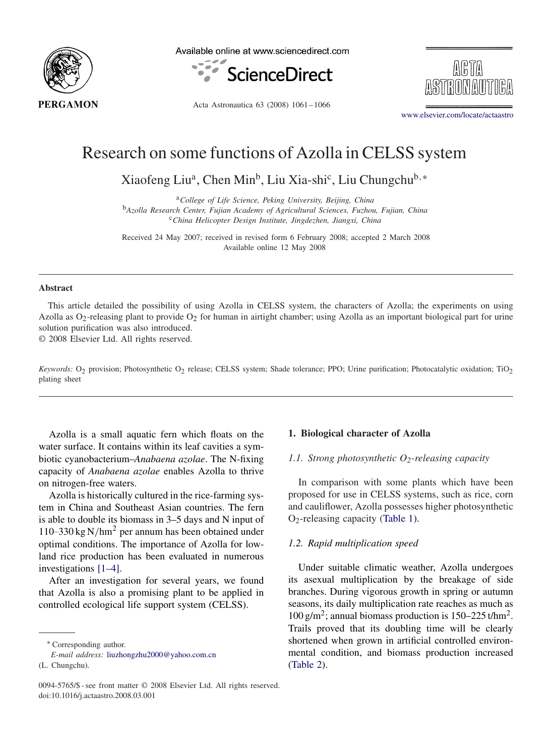

Available online at www.sciencedirect.com



Acta Astronautica 63 (2008) 1061 – 1066

[www.elsevier.com/locate/actaastro](http://www.elsevier.com/locate/actaastro)

# Research on some functions of Azolla in CELSS system

Xiaofeng Liu<sup>a</sup>, Chen Min<sup>b</sup>, Liu Xia-shi<sup>c</sup>, Liu Chungchu<sup>b,\*</sup>

<sup>a</sup>*College of Life Science, Peking University, Beijing, China* <sup>b</sup>*Azolla Research Center, Fujian Academy of Agricultural Sciences, Fuzhou, Fujian, China* <sup>c</sup>*China Helicopter Design Institute, Jingdezhen, Jiangxi, China*

Received 24 May 2007; received in revised form 6 February 2008; accepted 2 March 2008 Available online 12 May 2008

#### **Abstract**

This article detailed the possibility of using Azolla in CELSS system, the characters of Azolla; the experiments on using Azolla as  $O_2$ -releasing plant to provide  $O_2$  for human in airtight chamber; using Azolla as an important biological part for urine solution purification was also introduced.

© 2008 Elsevier Ltd. All rights reserved.

*Keywords:* O<sub>2</sub> provision; Photosynthetic O<sub>2</sub> release; CELSS system; Shade tolerance; PPO; Urine purification; Photocatalytic oxidation; TiO<sub>2</sub> plating sheet

Azolla is a small aquatic fern which floats on the water surface. It contains within its leaf cavities a symbiotic cyanobacterium–*Anabaena azolae*. The N-fixing capacity of *Anabaena azolae* enables Azolla to thrive on nitrogen-free waters.

Azolla is historically cultured in the rice-farming system in China and Southeast Asian countries. The fern is able to double its biomass in 3–5 days and N input of 110–330 kg N/hm<sup>2</sup> per annum has been obtained under optimal conditions. The importance of Azolla for lowland rice production has been evaluated in numerous investigations [1–4].

After an investigation for several years, we found that Azolla is also a promising plant to be applied in controlled ecological life support system (CELSS).

# **1. Biological character of Azolla**

#### *1.1. Strong photosynthetic O2-releasing capacity*

In comparison with some plants which have been proposed for use in CELSS systems, such as rice, corn and cauliflower, Azolla possesses higher photosynthetic O2-releasing capacity [\(Table 1\)](#page-1-0).

#### *1.2. Rapid multiplication speed*

Under suitable climatic weather, Azolla undergoes its asexual multiplication by the breakage of side branches. During vigorous growth in spring or autumn seasons, its daily multiplication rate reaches as much as 100 g/m<sup>2</sup>; annual biomass production is  $150-225$  t/hm<sup>2</sup>. Trails proved that its doubling time will be clearly shortened when grown in artificial controlled environmental condition, and biomass production increased [\(Table 2\)](#page-1-0).

<sup>∗</sup> Corresponding author.

*E-mail address:* [liuzhongzhu2000@yahoo.com.cn](mailto:liuzhongzhu2000@yahoo.com.cn)

<sup>(</sup>L. Chungchu).

<sup>0094-5765/\$ -</sup> see front matter © 2008 Elsevier Ltd. All rights reserved. doi:10.1016/j.actaastro.2008.03.001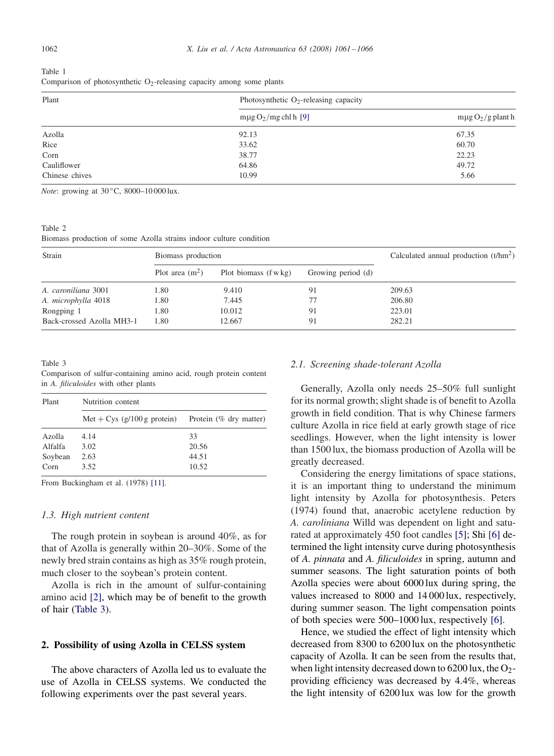<span id="page-1-0"></span>

| Table 1                                                                  |  |  |  |
|--------------------------------------------------------------------------|--|--|--|
| Comparison of photosynthetic $O_2$ -releasing capacity among some plants |  |  |  |

| Plant          | Photosynthetic $O_2$ -releasing capacity |                        |  |  |  |
|----------------|------------------------------------------|------------------------|--|--|--|
|                | $m\mu g O_2/mg$ chl h [9]                | $m\mu g O_2/g$ plant h |  |  |  |
| Azolla         | 92.13                                    | 67.35                  |  |  |  |
| Rice           | 33.62                                    | 60.70                  |  |  |  |
| Corn           | 38.77                                    | 22.23                  |  |  |  |
| Cauliflower    | 64.86                                    | 49.72                  |  |  |  |
| Chinese chives | 10.99                                    | 5.66                   |  |  |  |

*Note*: growing at 30 °C, 8000-10 000 lux.

Table 2 Biomass production of some Azolla strains indoor culture condition

| Strain                    | Biomass production |                                 | Calculated annual production $(t/hm^2)$ |        |
|---------------------------|--------------------|---------------------------------|-----------------------------------------|--------|
|                           | Plot area $(m^2)$  | Plot biomass $(f \text{ w kg})$ | Growing period (d)                      |        |
| A. caroniliana 3001       | 1.80               | 9.410                           | 91                                      | 209.63 |
| A. microphylla 4018       | 1.80               | 7.445                           |                                         | 206.80 |
| Rongping 1                | 1.80               | 10.012                          | 91                                      | 223.01 |
| Back-crossed Azolla MH3-1 | 1.80               | 12.667                          | 91                                      | 282.21 |

Table 3

Comparison of sulfur-containing amino acid, rough protein content in *A. filiculoides* with other plants

| Plant   | Nutrition content             |                        |  |  |  |  |
|---------|-------------------------------|------------------------|--|--|--|--|
|         | Met + Cys $(g/100 g$ protein) | Protein (% dry matter) |  |  |  |  |
| Azolla  | 4.14                          | 33                     |  |  |  |  |
| Alfalfa | 3.02                          | 20.56                  |  |  |  |  |
| Soybean | 2.63                          | 44.51                  |  |  |  |  |
| Corn    | 3.52                          | 10.52                  |  |  |  |  |

From Buckingham et al. (1978) [\[11\].](#page-5-0)

#### *1.3. High nutrient content*

The rough protein in soybean is around 40%, as for that of Azolla is generally within 20–30%. Some of the newly bred strain contains as high as 35% rough protein, much closer to the soybean's protein content.

Azolla is rich in the amount of sulfur-containing amino acid [\[2\],](#page-5-0) which may be of benefit to the growth of hair (Table 3).

### **2. Possibility of using Azolla in CELSS system**

The above characters of Azolla led us to evaluate the use of Azolla in CELSS systems. We conducted the following experiments over the past several years.

#### *2.1. Screening shade-tolerant Azolla*

Generally, Azolla only needs 25–50% full sunlight for its normal growth; slight shade is of benefit to Azolla growth in field condition. That is why Chinese farmers culture Azolla in rice field at early growth stage of rice seedlings. However, when the light intensity is lower than 1500 lux, the biomass production of Azolla will be greatly decreased.

Considering the energy limitations of space stations, it is an important thing to understand the minimum light intensity by Azolla for photosynthesis. Peters (1974) found that, anaerobic acetylene reduction by *A. caroliniana* Willd was dependent on light and saturated at approximately 450 foot candles [\[5\];](#page-5-0) Shi [\[6\]](#page-5-0) determined the light intensity curve during photosynthesis of *A. pinnata* and *A. filiculoides* in spring, autumn and summer seasons. The light saturation points of both Azolla species were about 6000 lux during spring, the values increased to 8000 and 14 000 lux, respectively, during summer season. The light compensation points of both species were 500–1000 lux, respectively [\[6\].](#page-5-0)

Hence, we studied the effect of light intensity which decreased from 8300 to 6200 lux on the photosynthetic capacity of Azolla. It can be seen from the results that, when light intensity decreased down to  $6200 \,\text{lux}$ , the O<sub>2</sub>providing efficiency was decreased by 4.4%, whereas the light intensity of 6200 lux was low for the growth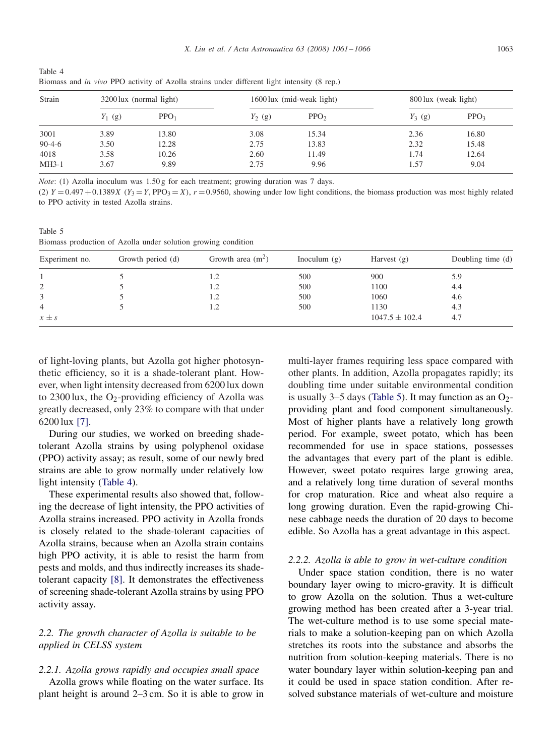Table 4 Biomass and *in vivo* PPO activity of Azolla strains under different light intensity (8 rep.)

| Strain       |           | 3200 lux (normal light) |           | 1600 lux (mid-weak light) |           | 800 lux (weak light) |  |
|--------------|-----------|-------------------------|-----------|---------------------------|-----------|----------------------|--|
|              | $Y_1$ (g) | PPO <sub>1</sub>        | $Y_2$ (g) | PPO <sub>2</sub>          | $Y_3$ (g) | PPO <sub>3</sub>     |  |
| 3001         | 3.89      | 13.80                   | 3.08      | 15.34                     | 2.36      | 16.80                |  |
| $90 - 4 - 6$ | 3.50      | 12.28                   | 2.75      | 13.83                     | 2.32      | 15.48                |  |
| 4018         | 3.58      | 10.26                   | 2.60      | 11.49                     | 1.74      | 12.64                |  |
| $MH3-1$      | 3.67      | 9.89                    | 2.75      | 9.96                      | 1.57      | 9.04                 |  |

*Note*: (1) Azolla inoculum was 1.50 g for each treatment; growing duration was 7 days.

(2)  $Y = 0.497 + 0.1389X$  ( $Y_3 = Y$ , PPO<sub>3</sub> = X),  $r = 0.9560$ , showing under low light conditions, the biomass production was most highly related to PPO activity in tested Azolla strains.

Table 5 Biomass production of Azolla under solution growing condition

| Experiment no. | Growth period (d) | Growth area $(m^2)$ | Inoculum $(g)$ | Harvest $(g)$      | Doubling time (d) |
|----------------|-------------------|---------------------|----------------|--------------------|-------------------|
|                |                   |                     | 500            | 900                | 5.9               |
| 2              |                   | l .2                | 500            | 1100               | 4.4               |
| 3              |                   | l .2                | 500            | 1060               | 4.6               |
| 4              |                   |                     | 500            | 1130               | 4.3               |
| $x \pm s$      |                   |                     |                | $1047.5 \pm 102.4$ | 4.7               |

of light-loving plants, but Azolla got higher photosynthetic efficiency, so it is a shade-tolerant plant. However, when light intensity decreased from 6200 lux down to 2300 lux, the O<sub>2</sub>-providing efficiency of Azolla was greatly decreased, only 23% to compare with that under 6200 lux [\[7\].](#page-5-0)

During our studies, we worked on breeding shadetolerant Azolla strains by using polyphenol oxidase (PPO) activity assay; as result, some of our newly bred strains are able to grow normally under relatively low light intensity (Table 4).

These experimental results also showed that, following the decrease of light intensity, the PPO activities of Azolla strains increased. PPO activity in Azolla fronds is closely related to the shade-tolerant capacities of Azolla strains, because when an Azolla strain contains high PPO activity, it is able to resist the harm from pests and molds, and thus indirectly increases its shadetolerant capacity [\[8\].](#page-5-0) It demonstrates the effectiveness of screening shade-tolerant Azolla strains by using PPO activity assay.

# *2.2. The growth character of Azolla is suitable to be applied in CELSS system*

#### *2.2.1. Azolla grows rapidly and occupies small space*

Azolla grows while floating on the water surface. Its plant height is around 2–3 cm. So it is able to grow in multi-layer frames requiring less space compared with other plants. In addition, Azolla propagates rapidly; its doubling time under suitable environmental condition is usually 3–5 days (Table 5). It may function as an  $O_2$ providing plant and food component simultaneously. Most of higher plants have a relatively long growth period. For example, sweet potato, which has been recommended for use in space stations, possesses the advantages that every part of the plant is edible. However, sweet potato requires large growing area, and a relatively long time duration of several months for crop maturation. Rice and wheat also require a long growing duration. Even the rapid-growing Chinese cabbage needs the duration of 20 days to become edible. So Azolla has a great advantage in this aspect.

#### *2.2.2. Azolla is able to grow in wet-culture condition*

Under space station condition, there is no water boundary layer owing to micro-gravity. It is difficult to grow Azolla on the solution. Thus a wet-culture growing method has been created after a 3-year trial. The wet-culture method is to use some special materials to make a solution-keeping pan on which Azolla stretches its roots into the substance and absorbs the nutrition from solution-keeping materials. There is no water boundary layer within solution-keeping pan and it could be used in space station condition. After resolved substance materials of wet-culture and moisture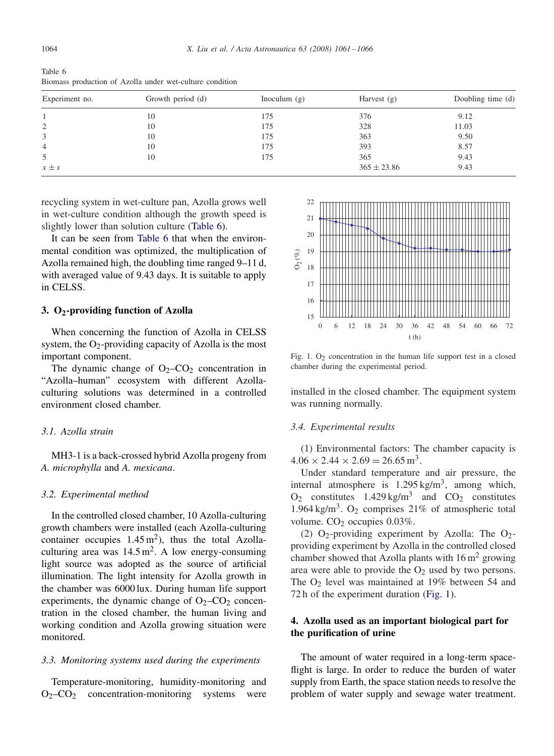Table 6 Biomass production of Azolla under wet-culture condition

| Experiment no. | Growth period (d) | Inoculum $(g)$ | Harvest $(g)$   | Doubling time (d) |
|----------------|-------------------|----------------|-----------------|-------------------|
|                | 10                | 175            | 376             | 9.12              |
| 2              | 10                | 175            | 328             | 11.03             |
| 3              | 10                | 175            | 363             | 9.50              |
| 4              | 10                | 175            | 393             | 8.57              |
| 5              | 10                | 175            | 365             | 9.43              |
| $x \pm s$      |                   |                | $365 \pm 23.86$ | 9.43              |

recycling system in wet-culture pan, Azolla grows well in wet-culture condition although the growth speed is slightly lower than solution culture (Table 6).

It can be seen from Table 6 that when the environmental condition was optimized, the multiplication of Azolla remained high, the doubling time ranged 9–11 d, with averaged value of 9.43 days. It is suitable to apply in CELSS.

#### **3. O2-providing function of Azolla**

When concerning the function of Azolla in CELSS system, the  $O_2$ -providing capacity of Azolla is the most important component.

The dynamic change of  $O_2$ –CO<sub>2</sub> concentration in "Azolla–human" ecosystem with different Azollaculturing solutions was determined in a controlled environment closed chamber.

#### *3.1. Azolla strain*

MH3-1 is a back-crossed hybrid Azolla progeny from *A. microphylla* and *A. mexicana*.

#### *3.2. Experimental method*

In the controlled closed chamber, 10 Azolla-culturing growth chambers were installed (each Azolla-culturing container occupies  $1.45 \text{ m}^2$ ), thus the total Azollaculturing area was  $14.5 \text{ m}^2$ . A low energy-consuming light source was adopted as the source of artificial illumination. The light intensity for Azolla growth in the chamber was 6000 lux. During human life support experiments, the dynamic change of  $O_2$ –CO<sub>2</sub> concentration in the closed chamber, the human living and working condition and Azolla growing situation were monitored.

#### *3.3. Monitoring systems used during the experiments*

Temperature-monitoring, humidity-monitoring and  $O_2$ – $CO_2$  concentration-monitoring systems were



Fig. 1.  $O_2$  concentration in the human life support test in a closed chamber during the experimental period.

installed in the closed chamber. The equipment system was running normally.

#### *3.4. Experimental results*

(1) Environmental factors: The chamber capacity is  $4.06 \times 2.44 \times 2.69 = 26.65 \,\mathrm{m}^3$ .

Under standard temperature and air pressure, the internal atmosphere is  $1.295 \text{ kg/m}^3$ , among which,  $O_2$  constitutes 1.429 kg/m<sup>3</sup> and  $CO_2$  constitutes 1.964 kg/m<sup>3</sup>. O<sub>2</sub> comprises 21% of atmospheric total volume.  $CO<sub>2</sub>$  occupies 0.03%.

(2)  $O_2$ -providing experiment by Azolla: The  $O_2$ providing experiment by Azolla in the controlled closed chamber showed that Azolla plants with  $16 \text{ m}^2$  growing area were able to provide the  $O<sub>2</sub>$  used by two persons. The  $O_2$  level was maintained at 19% between 54 and 72 h of the experiment duration (Fig. 1).

# **4. Azolla used as an important biological part for the purification of urine**

The amount of water required in a long-term spaceflight is large. In order to reduce the burden of water supply from Earth, the space station needs to resolve the problem of water supply and sewage water treatment.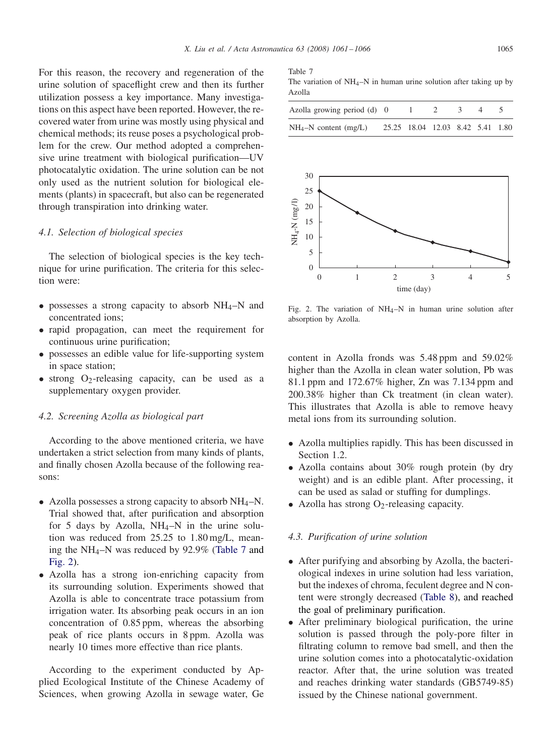For this reason, the recovery and regeneration of the urine solution of spaceflight crew and then its further utilization possess a key importance. Many investigations on this aspect have been reported. However, the recovered water from urine was mostly using physical and chemical methods; its reuse poses a psychological problem for the crew. Our method adopted a comprehensive urine treatment with biological purification—UV photocatalytic oxidation. The urine solution can be not only used as the nutrient solution for biological elements (plants) in spacecraft, but also can be regenerated through transpiration into drinking water.

### *4.1. Selection of biological species*

The selection of biological species is the key technique for urine purification. The criteria for this selection were:

- possesses a strong capacity to absorb  $NH_4-N$  and concentrated ions;
- rapid propagation, can meet the requirement for continuous urine purification;
- possesses an edible value for life-supporting system in space station;
- strong  $O_2$ -releasing capacity, can be used as a supplementary oxygen provider.

#### *4.2. Screening Azolla as biological part*

According to the above mentioned criteria, we have undertaken a strict selection from many kinds of plants, and finally chosen Azolla because of the following reasons:

- Azolla possesses a strong capacity to absorb  $NH_4-N$ . Trial showed that, after purification and absorption for 5 days by Azolla,  $NH_4-N$  in the urine solution was reduced from 25.25 to 1.80 mg/L, meaning the NH4–N was reduced by 92.9% (Table 7 and Fig. 2).
- Azolla has a strong ion-enriching capacity from its surrounding solution. Experiments showed that Azolla is able to concentrate trace potassium from irrigation water. Its absorbing peak occurs in an ion concentration of 0.85 ppm, whereas the absorbing peak of rice plants occurs in 8 ppm. Azolla was nearly 10 times more effective than rice plants.

According to the experiment conducted by Applied Ecological Institute of the Chinese Academy of Sciences, when growing Azolla in sewage water, Ge

Table 7

The variation of  $NH_4-N$  in human urine solution after taking up by Azolla

| Azolla growing period (d) 0 | $1 \quad 2 \quad 3 \quad 4$      |  |  |
|-----------------------------|----------------------------------|--|--|
| $NH_4-N$ content (mg/L)     | 25.25 18.04 12.03 8.42 5.41 1.80 |  |  |



Fig. 2. The variation of  $NH_4-N$  in human urine solution after absorption by Azolla.

content in Azolla fronds was 5.48 ppm and 59.02% higher than the Azolla in clean water solution, Pb was 81.1 ppm and 172.67% higher, Zn was 7.134 ppm and 200.38% higher than Ck treatment (in clean water). This illustrates that Azolla is able to remove heavy metal ions from its surrounding solution.

- Azolla multiplies rapidly. This has been discussed in Section 1.2.
- Azolla contains about 30% rough protein (by dry weight) and is an edible plant. After processing, it can be used as salad or stuffing for dumplings.
- Azolla has strong  $O_2$ -releasing capacity.

## *4.3. Purification of urine solution*

- After purifying and absorbing by Azolla, the bacteriological indexes in urine solution had less variation, but the indexes of chroma, feculent degree and N content were strongly decreased [\(Table 8\)](#page-5-0), and reached the goal of preliminary purification.
- After preliminary biological purification, the urine solution is passed through the poly-pore filter in filtrating column to remove bad smell, and then the urine solution comes into a photocatalytic-oxidation reactor. After that, the urine solution was treated and reaches drinking water standards (GB5749-85) issued by the Chinese national government.